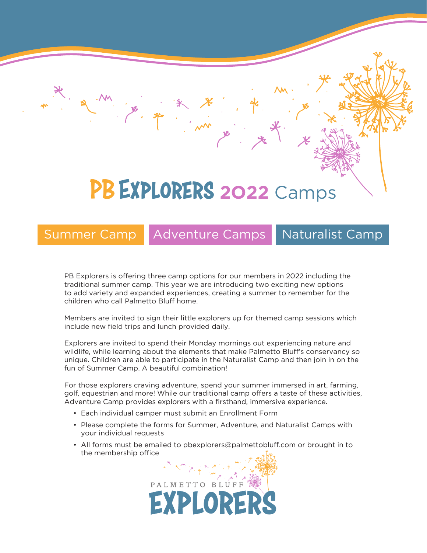# PB EXPLORERS 2022 Camps

# Summer Camp | Adventure Camps | Naturalist Camp

PB Explorers is offering three camp options for our members in 2022 including the traditional summer camp. This year we are introducing two exciting new options to add variety and expanded experiences, creating a summer to remember for the children who call Palmetto Bluff home.

Members are invited to sign their little explorers up for themed camp sessions which include new field trips and lunch provided daily.

Explorers are invited to spend their Monday mornings out experiencing nature and wildlife, while learning about the elements that make Palmetto Bluff's conservancy so unique. Children are able to participate in the Naturalist Camp and then join in on the fun of Summer Camp. A beautiful combination!

For those explorers craving adventure, spend your summer immersed in art, farming, golf, equestrian and more! While our traditional camp offers a taste of these activities, Adventure Camp provides explorers with a firsthand, immersive experience.

- Each individual camper must submit an Enrollment Form
- Please complete the forms for Summer, Adventure, and Naturalist Camps with your individual requests
- All forms must be emailed to pbexplorers@palmettobluff.com or brought in to the membership office

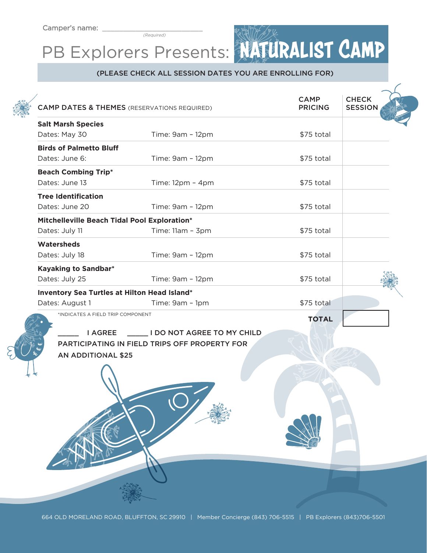(Required)

# PB Explorers Presents: NATURALIST CAMP

### (PLEASE CHECK ALL SESSION DATES YOU ARE ENROLLING FOR)

| <b>CAMP DATES &amp; THEMES</b> (RESERVATIONS REQUIRED) |                                               | <b>CAMP</b><br><b>PRICING</b> | <b>CHECK</b><br><b>SESSION</b> |
|--------------------------------------------------------|-----------------------------------------------|-------------------------------|--------------------------------|
| <b>Salt Marsh Species</b>                              |                                               |                               |                                |
| Dates: May 30                                          | Time: 9am - 12pm                              | \$75 total                    |                                |
| <b>Birds of Palmetto Bluff</b>                         |                                               |                               |                                |
| Dates: June 6:                                         | Time: 9am - 12pm                              | \$75 total                    |                                |
| <b>Beach Combing Trip*</b>                             |                                               |                               |                                |
| Dates: June 13                                         | Time: $12pm - 4pm$                            | \$75 total                    |                                |
| <b>Tree Identification</b>                             |                                               |                               |                                |
| Dates: June 20                                         | Time: 9am - 12pm                              | \$75 total                    |                                |
| Mitchelleville Beach Tidal Pool Exploration*           |                                               |                               |                                |
| Dates: July 11                                         | Time: 11am - 3pm                              | \$75 total                    |                                |
| Watersheds                                             |                                               |                               |                                |
| Dates: July 18                                         | Time: 9am - 12pm                              | \$75 total                    |                                |
| Kayaking to Sandbar*                                   |                                               |                               |                                |
| Dates: July 25                                         | Time: 9am - 12pm                              | \$75 total                    |                                |
| Inventory Sea Turtles at Hilton Head Island*           |                                               |                               |                                |
| Dates: August 1                                        | Time: 9am - 1pm                               | \$75 total                    |                                |
| *INDICATES A FIELD TRIP COMPONENT                      |                                               | <b>TOTAL</b>                  |                                |
| <b>I AGREE</b>                                         | I DO NOT AGREE TO MY CHILD                    |                               |                                |
|                                                        | PARTICIPATING IN FIELD TRIPS OFF PROPERTY FOR |                               |                                |
| <b>AN ADDITIONAL \$25</b>                              |                                               |                               |                                |
|                                                        |                                               |                               |                                |
|                                                        |                                               |                               |                                |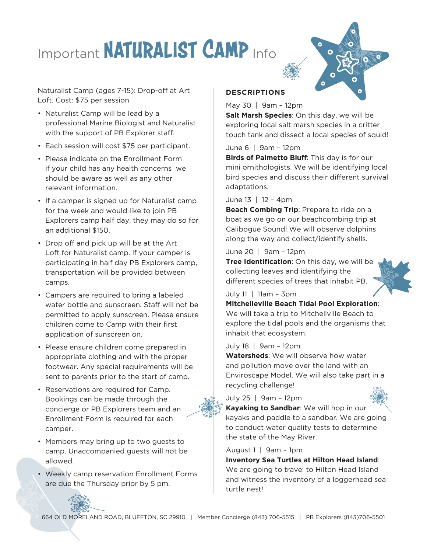# Important NATURALIST CAMP Info



Naturalist Camp (ages 7-15): Drop-off at Art Loft. Cost: \$75 per session

- Naturalist Camp will be lead by a professional Marine Biologist and Naturalist with the support of PB Explorer staff.
- Each session will cost \$75 per participant.
- Please indicate on the Enrollment Form if your child has any health concerns we should be aware as well as any other relevant information.
- If a camper is signed up for Naturalist camp for the week and would like to join PB Explorers camp half day, they may do so for an additional \$150.
- Drop off and pick up will be at the Art Loft for Naturalist camp. If your camper is participating in half day PB Explorers camp, transportation will be provided between camps.
- Campers are required to bring a labeled water bottle and sunscreen. Staff will not be permitted to apply sunscreen. Please ensure children come to Camp with their first application of sunscreen on.
- Please ensure children come prepared in appropriate clothing and with the proper footwear. Any special requirements will be sent to parents prior to the start of camp.
- Reservations are required for Camp. Bookings can be made through the concierge or PB Explorers team and an Enrollment Form is required for each camper.
- Members may bring up to two guests to camp. Unaccompanied guests will not be allowed.
- Weekly camp reservation Enrollment Forms are due the Thursday prior by 5 pm.

## **DESCRIPTIONS**

May 30 | 9am – 12pm

**Salt Marsh Species**: On this day, we will be exploring local salt marsh species in a critter touch tank and dissect a local species of squid!

### June 6 | 9am – 12pm

**Birds of Palmetto Bluff**: This day is for our mini ornithologists. We will be identifying local bird species and discuss their different survival adaptations.

### June 13 | 12 – 4pm

**Beach Combing Trip: Prepare to ride on a** boat as we go on our beachcombing trip at Calibogue Sound! We will observe dolphins along the way and collect/identify shells.

#### June 20 | 9am – 12pm

**Tree Identification**: On this day, we will be collecting leaves and identifying the different species of trees that inhabit PB.

July 11 | 11am – 3pm

### **Mitchelleville Beach Tidal Pool Exploration**:

We will take a trip to Mitchellville Beach to explore the tidal pools and the organisms that inhabit that ecosystem.

### July 18 | 9am – 12pm

**Watersheds**: We will observe how water and pollution move over the land with an Enviroscape Model. We will also take part in a recycling challenge!

July 25 | 9am – 12pm



**Kayaking to Sandbar**: We will hop in our kayaks and paddle to a sandbar. We are going to conduct water quality tests to determine the state of the May River.

August 1 | 9am – 1pm

**Inventory Sea Turtles at Hilton Head Island**: We are going to travel to Hilton Head Island and witness the inventory of a loggerhead sea turtle nest!